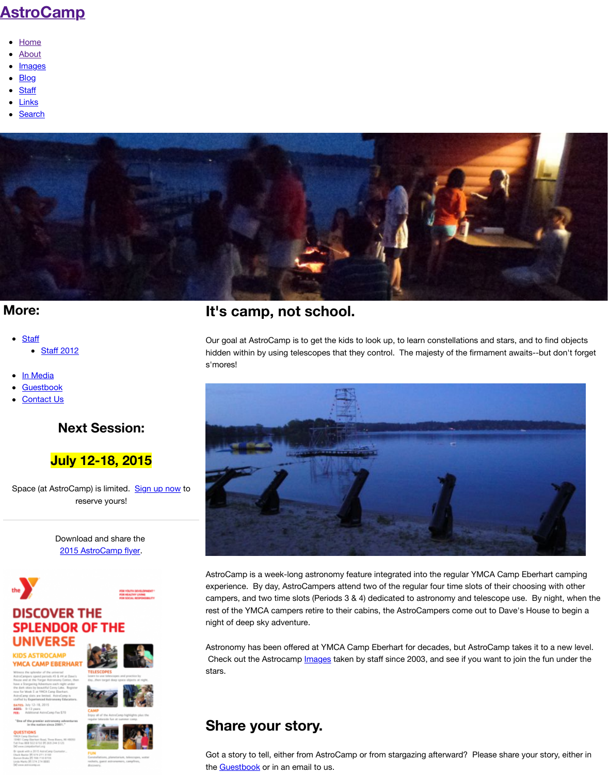### **M[ore:](http://www.astrocamp.us/)**

- **[Sta](http://www.astrocamp.us/index.php/2003-2011/)ff** 
	- Staff 2012
- **[In Me](http://www.astrocamp.us/index.php/links/)dia**
- **[Guestb](http://www.astrocamp.us/index.php/search/)ook**
- Contact Us

## **Next Session:**

## **July 12-18, 2015**

Space (at AstroCamp) is limited. Sign up now to reserve yours!

> Download and share the 2015 AstroCamp flyer.



## **DISCOVER THE SPLENDOR OF THE UNIVERSE**

### **IDS ASTROCAMP MCA CAMP EBERHART**

Elevens the splendor of the unit istroCampers spend periods #3 & #4 at Dave's<br>Fouse and at the Yarger Astronomy Center, then toye a Stargazing Adventure each night under the dark skies by beautiful Corey Lake. Register<br>sow for Week 5 at YMCA Camp Doethart. AstroCamp slots are limited. AstroCamp is<br>staffed by Experienced Astronomy Educators

SATES: July 12-18, 2015<br>AEES: 9-13 years<br><mark>YE:</mark> Additional AstroCamp Fee \$70 AGES: FEE:

One of the premier astro ny advantures in the nation since 2001."

#### QUESTIONS

a Davlori Road, Texas Ripers, MI 492031 ee 888 522 6732 90 369 344 5125

cak with a 2015 AstraC ok with a 2015 Annellan<br>Buolur (P) 174 211 3110<br>| Draka (P) 188 710 0731<br>Marks (P) 574 274 8885









# **It's camp, not school.**

Our goal at AstroCamp is to get the kids to look up, to learn constellations and stars, and stars, and to find o hidden within by using telescopes that they control. s'mores!



AstroCamp is a week-long astronomy feature inte experience. By day, AstroCampers attend two of campers, and two time slots (Periods 3 & 4) dedicated to as rest of the YMCA campers retire to their cabins, the night of deep sky adventure.

Astronomy has been offered at YMCA Camp Eber Check out the Astrocamp Images taken by staff step stars.

# **Share your story.**

Got a story to tell, either from AstroCamp or from the Guestbook or in an email to us.